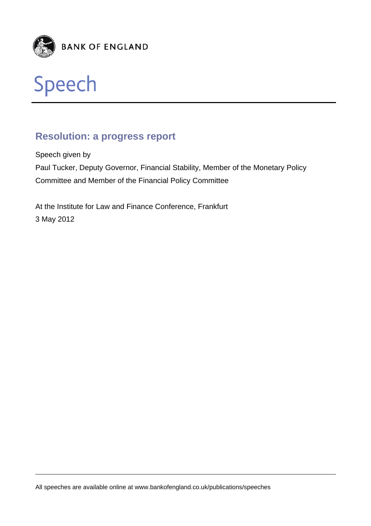



# **Resolution: a progress report**

Speech given by Paul Tucker, Deputy Governor, Financial Stability, Member of the Monetary Policy Committee and Member of the Financial Policy Committee

At the Institute for Law and Finance Conference, Frankfurt 3 May 2012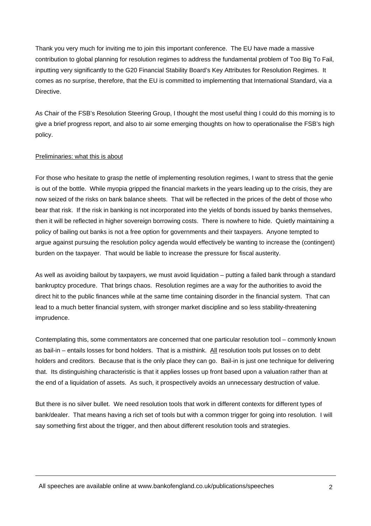Thank you very much for inviting me to join this important conference. The EU have made a massive contribution to global planning for resolution regimes to address the fundamental problem of Too Big To Fail, inputting very significantly to the G20 Financial Stability Board's Key Attributes for Resolution Regimes. It comes as no surprise, therefore, that the EU is committed to implementing that International Standard, via a Directive.

As Chair of the FSB's Resolution Steering Group, I thought the most useful thing I could do this morning is to give a brief progress report, and also to air some emerging thoughts on how to operationalise the FSB's high policy.

### Preliminaries: what this is about

For those who hesitate to grasp the nettle of implementing resolution regimes, I want to stress that the genie is out of the bottle. While myopia gripped the financial markets in the years leading up to the crisis, they are now seized of the risks on bank balance sheets. That will be reflected in the prices of the debt of those who bear that risk. If the risk in banking is not incorporated into the yields of bonds issued by banks themselves, then it will be reflected in higher sovereign borrowing costs. There is nowhere to hide. Quietly maintaining a policy of bailing out banks is not a free option for governments and their taxpayers. Anyone tempted to argue against pursuing the resolution policy agenda would effectively be wanting to increase the (contingent) burden on the taxpayer. That would be liable to increase the pressure for fiscal austerity.

As well as avoiding bailout by taxpayers, we must avoid liquidation – putting a failed bank through a standard bankruptcy procedure. That brings chaos. Resolution regimes are a way for the authorities to avoid the direct hit to the public finances while at the same time containing disorder in the financial system. That can lead to a much better financial system, with stronger market discipline and so less stability-threatening imprudence.

Contemplating this, some commentators are concerned that one particular resolution tool – commonly known as bail-in – entails losses for bond holders. That is a misthink. All resolution tools put losses on to debt holders and creditors. Because that is the only place they can go. Bail-in is just one technique for delivering that. Its distinguishing characteristic is that it applies losses up front based upon a valuation rather than at the end of a liquidation of assets. As such, it prospectively avoids an unnecessary destruction of value.

But there is no silver bullet. We need resolution tools that work in different contexts for different types of bank/dealer. That means having a rich set of tools but with a common trigger for going into resolution. I will say something first about the trigger, and then about different resolution tools and strategies.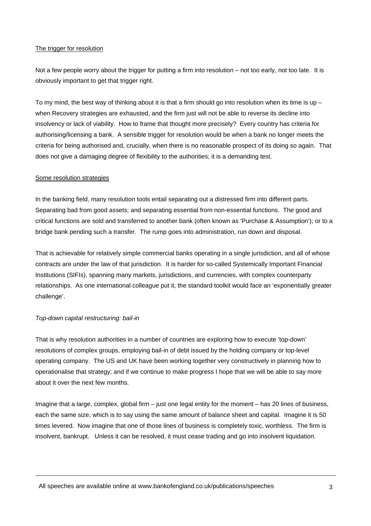## The trigger for resolution

Not a few people worry about the trigger for putting a firm into resolution – not too early, not too late. It is obviously important to get that trigger right.

To my mind, the best way of thinking about it is that a firm should go into resolution when its time is up  $$ when Recovery strategies are exhausted, and the firm just will not be able to reverse its decline into insolvency or lack of viability. How to frame that thought more precisely? Every country has criteria for authorising/licensing a bank. A sensible trigger for resolution would be when a bank no longer meets the criteria for being authorised and, crucially, when there is no reasonable prospect of its doing so again. That does not give a damaging degree of flexibility to the authorities; it is a demanding test.

# Some resolution strategies

In the banking field, many resolution tools entail separating out a distressed firm into different parts. Separating bad from good assets; and separating essential from non-essential functions. The good and critical functions are sold and transferred to another bank (often known as 'Purchase & Assumption'); or to a bridge bank pending such a transfer. The rump goes into administration, run down and disposal.

That is achievable for relatively simple commercial banks operating in a single jurisdiction, and all of whose contracts are under the law of that jurisdiction. It is harder for so-called Systemically Important Financial Institutions (SIFIs), spanning many markets, jurisdictions, and currencies, with complex counterparty relationships. As one international colleague put it, the standard toolkit would face an 'exponentially greater challenge'.

# *Top-down capital restructuring: bail-in*

That is why resolution authorities in a number of countries are exploring how to execute 'top-down' resolutions of complex groups, employing bail-in of debt issued by the holding company or top-level operating company. The US and UK have been working together very constructively in planning how to operationalise that strategy; and if we continue to make progress I hope that we will be able to say more about it over the next few months.

Imagine that a large, complex, global firm – just one legal entity for the moment – has 20 lines of business, each the same size, which is to say using the same amount of balance sheet and capital. Imagine it is 50 times levered. Now imagine that one of those lines of business is completely toxic, worthless. The firm is insolvent, bankrupt. Unless it can be resolved, it must cease trading and go into insolvent liquidation.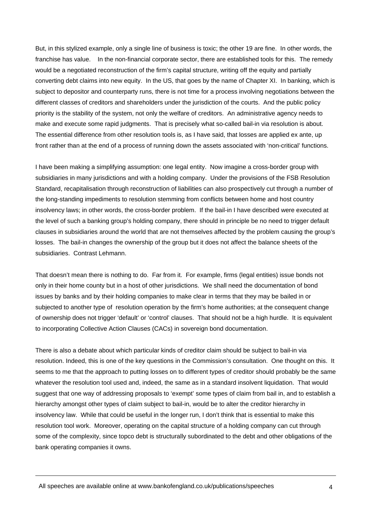But, in this stylized example, only a single line of business is toxic; the other 19 are fine. In other words, the franchise has value. In the non-financial corporate sector, there are established tools for this. The remedy would be a negotiated reconstruction of the firm's capital structure, writing off the equity and partially converting debt claims into new equity. In the US, that goes by the name of Chapter XI. In banking, which is subject to depositor and counterparty runs, there is not time for a process involving negotiations between the different classes of creditors and shareholders under the jurisdiction of the courts. And the public policy priority is the stability of the system, not only the welfare of creditors. An administrative agency needs to make and execute some rapid judgments. That is precisely what so-called bail-in via resolution is about. The essential difference from other resolution tools is, as I have said, that losses are applied ex ante, up front rather than at the end of a process of running down the assets associated with 'non-critical' functions.

I have been making a simplifying assumption: one legal entity. Now imagine a cross-border group with subsidiaries in many jurisdictions and with a holding company. Under the provisions of the FSB Resolution Standard, recapitalisation through reconstruction of liabilities can also prospectively cut through a number of the long-standing impediments to resolution stemming from conflicts between home and host country insolvency laws; in other words, the cross-border problem. If the bail-in I have described were executed at the level of such a banking group's holding company, there should in principle be no need to trigger default clauses in subsidiaries around the world that are not themselves affected by the problem causing the group's losses. The bail-in changes the ownership of the group but it does not affect the balance sheets of the subsidiaries. Contrast Lehmann.

That doesn't mean there is nothing to do. Far from it. For example, firms (legal entities) issue bonds not only in their home county but in a host of other jurisdictions. We shall need the documentation of bond issues by banks and by their holding companies to make clear in terms that they may be bailed in or subjected to another type of resolution operation by the firm's home authorities; at the consequent change of ownership does not trigger 'default' or 'control' clauses. That should not be a high hurdle. It is equivalent to incorporating Collective Action Clauses (CACs) in sovereign bond documentation.

There is also a debate about which particular kinds of creditor claim should be subject to bail-in via resolution. Indeed, this is one of the key questions in the Commission's consultation. One thought on this. It seems to me that the approach to putting losses on to different types of creditor should probably be the same whatever the resolution tool used and, indeed, the same as in a standard insolvent liquidation. That would suggest that one way of addressing proposals to 'exempt' some types of claim from bail in, and to establish a hierarchy amongst other types of claim subject to bail-in, would be to alter the creditor hierarchy in insolvency law. While that could be useful in the longer run, I don't think that is essential to make this resolution tool work. Moreover, operating on the capital structure of a holding company can cut through some of the complexity, since topco debt is structurally subordinated to the debt and other obligations of the bank operating companies it owns.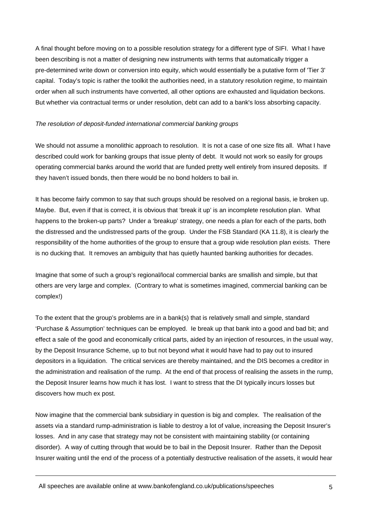A final thought before moving on to a possible resolution strategy for a different type of SIFI. What I have been describing is not a matter of designing new instruments with terms that automatically trigger a pre-determined write down or conversion into equity, which would essentially be a putative form of 'Tier 3' capital. Today's topic is rather the toolkit the authorities need, in a statutory resolution regime, to maintain order when all such instruments have converted, all other options are exhausted and liquidation beckons. But whether via contractual terms or under resolution, debt can add to a bank's loss absorbing capacity.

#### *The resolution of deposit-funded international commercial banking groups*

We should not assume a monolithic approach to resolution. It is not a case of one size fits all. What I have described could work for banking groups that issue plenty of debt. It would not work so easily for groups operating commercial banks around the world that are funded pretty well entirely from insured deposits. If they haven't issued bonds, then there would be no bond holders to bail in.

It has become fairly common to say that such groups should be resolved on a regional basis, ie broken up. Maybe. But, even if that is correct, it is obvious that 'break it up' is an incomplete resolution plan. What happens to the broken-up parts? Under a 'breakup' strategy, one needs a plan for each of the parts, both the distressed and the undistressed parts of the group. Under the FSB Standard (KA 11.8), it is clearly the responsibility of the home authorities of the group to ensure that a group wide resolution plan exists. There is no ducking that. It removes an ambiguity that has quietly haunted banking authorities for decades.

Imagine that some of such a group's regional/local commercial banks are smallish and simple, but that others are very large and complex. (Contrary to what is sometimes imagined, commercial banking can be complex!)

To the extent that the group's problems are in a bank(s) that is relatively small and simple, standard 'Purchase & Assumption' techniques can be employed. Ie break up that bank into a good and bad bit; and effect a sale of the good and economically critical parts, aided by an injection of resources, in the usual way, by the Deposit Insurance Scheme, up to but not beyond what it would have had to pay out to insured depositors in a liquidation. The critical services are thereby maintained, and the DIS becomes a creditor in the administration and realisation of the rump. At the end of that process of realising the assets in the rump, the Deposit Insurer learns how much it has lost. I want to stress that the DI typically incurs losses but discovers how much ex post.

Now imagine that the commercial bank subsidiary in question is big and complex. The realisation of the assets via a standard rump-administration is liable to destroy a lot of value, increasing the Deposit Insurer's losses. And in any case that strategy may not be consistent with maintaining stability (or containing disorder). A way of cutting through that would be to bail in the Deposit Insurer. Rather than the Deposit Insurer waiting until the end of the process of a potentially destructive realisation of the assets, it would hear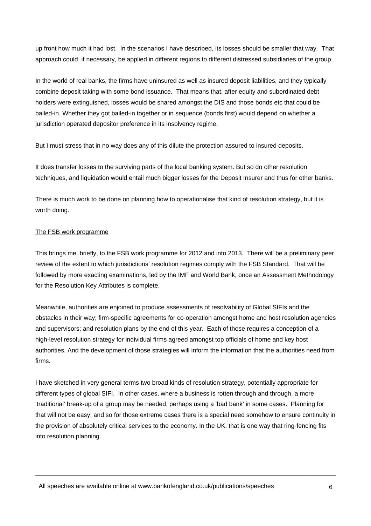up front how much it had lost. In the scenarios I have described, its losses should be smaller that way. That approach could, if necessary, be applied in different regions to different distressed subsidiaries of the group.

In the world of real banks, the firms have uninsured as well as insured deposit liabilities, and they typically combine deposit taking with some bond issuance. That means that, after equity and subordinated debt holders were extinguished, losses would be shared amongst the DIS and those bonds etc that could be bailed-in. Whether they got bailed-in together or in sequence (bonds first) would depend on whether a jurisdiction operated depositor preference in its insolvency regime.

But I must stress that in no way does any of this dilute the protection assured to insured deposits.

It does transfer losses to the surviving parts of the local banking system. But so do other resolution techniques, and liquidation would entail much bigger losses for the Deposit Insurer and thus for other banks.

There is much work to be done on planning how to operationalise that kind of resolution strategy, but it is worth doing.

### The FSB work programme

This brings me, briefly, to the FSB work programme for 2012 and into 2013. There will be a preliminary peer review of the extent to which jurisdictions' resolution regimes comply with the FSB Standard. That will be followed by more exacting examinations, led by the IMF and World Bank, once an Assessment Methodology for the Resolution Key Attributes is complete.

Meanwhile, authorities are enjoined to produce assessments of resolvability of Global SIFIs and the obstacles in their way; firm-specific agreements for co-operation amongst home and host resolution agencies and supervisors; and resolution plans by the end of this year. Each of those requires a conception of a high-level resolution strategy for individual firms agreed amongst top officials of home and key host authorities. And the development of those strategies will inform the information that the authorities need from firms.

I have sketched in very general terms two broad kinds of resolution strategy, potentially appropriate for different types of global SIFI. In other cases, where a business is rotten through and through, a more 'traditional' break-up of a group may be needed, perhaps using a 'bad bank' in some cases. Planning for that will not be easy, and so for those extreme cases there is a special need somehow to ensure continuity in the provision of absolutely critical services to the economy. In the UK, that is one way that ring-fencing fits into resolution planning.